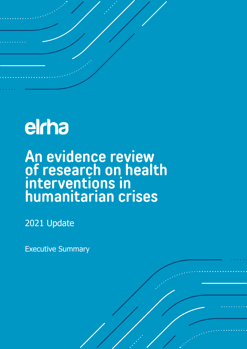## elrha

An evidence review **of research on health interventions in humanitarian crises** 

2021 Update

Executive Summary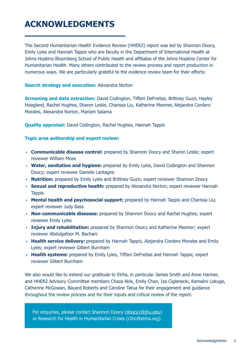## **ACKNOWLEDGMENTS**

The Second Humanitarian Health Evidence Review (HHER2) report was led by Shannon Doocy, Emily Lyles and Hannah Tappis who are faculty in the Department of International Health at Johns Hopkins Bloomberg School of Public Health and affiliates of the Johns Hopkins Center for Humanitarian Health. Many others contributed to the review process and report production in numerous ways. We are particularly grateful to the evidence review team for their efforts:

#### **Search strategy and execution: Alexandra Norton**

**Screening and data extraction:** David Codington, Tiffani DeFreitas, Brittney Guzzi, Hayley Hoagland, Rachel Hughes, Sharon Leslie, Charissa Liu, Katherine Mesmer, Alejandra Cordero Morales, Alexandra Norton, Mariam Salama

**Quality appraisal:** David Codington, Rachel Hughes, Hannah Tappis

#### **Topic area authorship and expert review:**

- **Communicable disease control:** prepared by Shannon Doocy and Sharon Leslie; expert reviewer William Moss
- Water, sanitation and hygiene: prepared by Emily Lyles, David Codington and Shannon Doocy; expert reviewer Daniele Lantagne
- **Nutrition:** prepared by Emily Lyles and Brittney Guzzi; expert reviewer Shannon Doocy
- • **Sexual and reproductive health:** prepared by Alexandra Norton; expert reviewer Hannah **Tappis**
- Mental health and psychosocial support: prepared by Hannah Tappis and Charissa Liu; expert reviewer Judy Bass
- **Non-communicable diseases:** prepared by Shannon Doocy and Rachel Hughes; expert reviewer Emily Lyles
- Injury and rehabilitation: prepared by Shannon Doocy and Katherine Mesmer; expert reviewer Abdulgafoor M. Bachani
- Health service delivery: prepared by Hannah Tappis, Alejandra Cordero Morales and Emily Lyles; expert reviewer Gilbert Burnham
- Health systems: prepared by Emily Lyles, Tiffani DeFreitas and Hannah Tappis; expert reviewer Gilbert Burnham

We also would like to extend our gratitude to Elrha, in particular James Smith and Anne Harmer, and HHER2 Advisory Committee members Chaza Akik, Emily Chan, Iza Ciglenecki, Kamalini Lokuge, Catherine McGowan, Bayard Roberts and Caroline Tatua for their engagement and guidance throughout the review process and for their inputs and critical review of the report.

For enquiries, please contact Shannon Doocy ([doocy1@jhu.edu](mailto:doocy1@jhu.edu)) or Research for Health in Humanitarian Crises [\(r2hc@elrha.org\)](mailto:r2hc@elrha.org).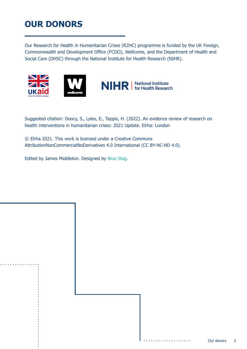## **OUR DONORS**

Our Research for Health in Humanitarian Crises (R2HC) programme is funded by the UK Foreign, Commonwealth and Development Office (FCDO), Wellcome, and the Department of Health and Social Care (DHSC) through the National Institute for Health Research (NIHR).





Suggested citation: Doocy, S., Lyles, E., Tappis, H. (2022). An evidence review of research on health interventions in humanitarian crises: 2021 Update. Elrha: London

© Elrha 2021. This work is licensed under a Creative Commons AttributionNonCommercialNoDerivatives 4.0 International (CC BY-NC-ND 4.0).

Edited by James Middleton. Designed by [Blue Stag.](https://bluestag.co.uk/)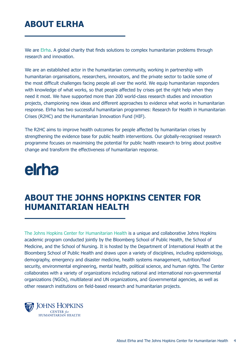## **ABOUT ELRHA**

We are [Elrha](https://www.elrha.org/). A global charity that finds solutions to complex humanitarian problems through research and innovation.

We are an established actor in the humanitarian community, working in partnership with humanitarian organisations, researchers, innovators, and the private sector to tackle some of the most difficult challenges facing people all over the world. We equip humanitarian responders with knowledge of what works, so that people affected by crises get the right help when they need it most. We have supported more than 200 world-class research studies and innovation projects, championing new ideas and different approaches to evidence what works in humanitarian response. Elrha has two successful humanitarian programmes: Research for Health in Humanitarian Crises (R2HC) and the Humanitarian Innovation Fund (HIF).

The R2HC aims to improve health outcomes for people affected by humanitarian crises by strengthening the evidence base for public health interventions. Our globally-recognised research programme focuses on maximising the potential for public health research to bring about positive change and transform the effectiveness of humanitarian response.

## elcha

### **ABOUT THE JOHNS HOPKINS CENTER FOR HUMANITARIAN HEALTH**

[The Johns Hopkins Center for Humanitarian Health](http://hopkinshumanitarianhealth.org/) is a unique and collaborative Johns Hopkins academic program conducted jointly by the Bloomberg School of Public Health, the School of Medicine, and the School of Nursing. It is hosted by the Department of International Health at the Bloomberg School of Public Health and draws upon a variety of disciplines, including epidemiology, demography, emergency and disaster medicine, health systems management, nutrition/food security, environmental engineering, mental health, political science, and human rights. The Center collaborates with a variety of organizations including national and international non-governmental organizations (NGOs), multilateral and UN organizations, and Governmental agencies, as well as other research institutions on field-based research and humanitarian projects.

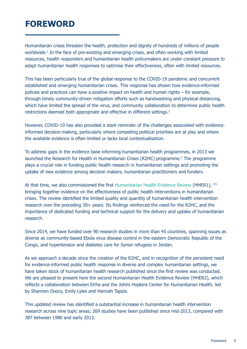## **FOREWORD**

Humanitarian crises threaten the health, protection and dignity of hundreds of millions of people worldwide.<sup>1</sup> In the face of pre-existing and emerging crises, and often working with limited resources, health responders and humanitarian health policymakers are under constant pressure to adapt humanitarian health responses to optimise their effectiveness, often with limited resources.

restrictions deemed both appropriate and effective in different settings.<sup>2</sup> This has been particularly true of the global response to the COVID-19 pandemic and concurrent established and emerging humanitarian crises. This response has shown how evidence-informed policies and practices can have a positive impact on health and human rights – for example, through timely community-driven mitigation efforts such as handwashing and physical distancing, which have limited the spread of the virus, and community collaboration to determine public health

However, COVID-19 has also provided a stark reminder of the challenges associated with evidenceinformed decision-making, particularly where competing political priorities are at play and where the available evidence is often limited or lacks local contextualisation.

To address gaps in the evidence base informing humanitarian health programmes, in 2013 we launched the Research for Health in Humanitarian Crises (R2HC) programme.<sup>3</sup> [T](#page-15-0)he programme plays a crucial role in funding public health research in humanitarian settings and promoting the uptake of new evidence among decision makers, humanitarian practitioners and funders.

At that time, we also commissioned the first [Humanitarian Health Evidence Review](https://www.elrha.org/researchdatabase/the-humanitarian-health-evidence-review/) (HHER1), 4,5 bringing together evidence on the effectiveness of public health interventions in humanitarian crises. The review identified the limited quality and quantity of humanitarian health intervention research over the preceding 30+ years. Its findings reinforced the need for the R2HC, and the importance of dedicated funding and technical support for the delivery and uptake of humanitarian research.

Since 2014, we have funded over 90 research studies in more than 45 countries, spanning issues as diverse as community-based Ebola virus disease control in the eastern Democratic Republic of the Congo, and hypertension and diabetes care for Syrian refugees in Jordan.

As we approach a decade since the creation of the R2HC, and in recognition of the persistent need for evidence-informed public health response in diverse and complex humanitarian settings, we have taken stock of humanitarian health research published since the first review was conducted. We are pleased to present here the second Humanitarian Health Evidence Review (HHER2), which reflects a collaboration between Elrha and the Johns Hopkins Center for Humanitarian Health, led by Shannon Doocy, Emily Lyles and Hannah Tappis.

This updated review has identified a substantial increase in humanitarian health intervention research across nine topic areas; 269 studies have been published since mid-2013, compared with 387 between 1980 and early 2013.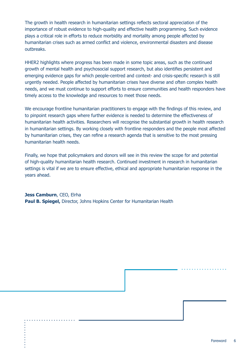The growth in health research in humanitarian settings reflects sectoral appreciation of the importance of robust evidence to high-quality and effective health programming. Such evidence plays a critical role in efforts to reduce morbidity and mortality among people affected by humanitarian crises such as armed conflict and violence, environmental disasters and disease outbreaks.

HHER2 highlights where progress has been made in some topic areas, such as the continued growth of mental health and psychosocial support research, but also identifies persistent and emerging evidence gaps for which people-centred and context- and crisis-specific research is still urgently needed. People affected by humanitarian crises have diverse and often complex health needs, and we must continue to support efforts to ensure communities and health responders have timely access to the knowledge and resources to meet those needs.

We encourage frontline humanitarian practitioners to engage with the findings of this review, and to pinpoint research gaps where further evidence is needed to determine the effectiveness of humanitarian health activities. Researchers will recognise the substantial growth in health research in humanitarian settings. By working closely with frontline responders and the people most affected by humanitarian crises, they can refine a research agenda that is sensitive to the most pressing humanitarian health needs.

Finally, we hope that policymakers and donors will see in this review the scope for and potential of high-quality humanitarian health research. Continued investment in research in humanitarian settings is vital if we are to ensure effective, ethical and appropriate humanitarian response in the years ahead.

**Jess Camburn**, CEO, Elrha **Paul B. Spiegel,** Director, Johns Hopkins Center for Humanitarian Health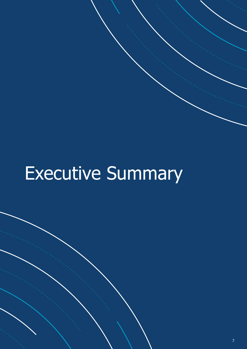# Executive Summary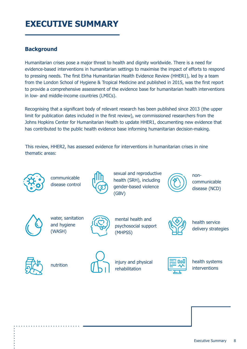## **EXECUTIVE SUMMARY**

#### **Background**

Humanitarian crises pose a major threat to health and dignity worldwide. There is a need for evidence-based interventions in humanitarian settings to maximise the impact of efforts to respond to pressing needs. The first Elrha Humanitarian Health Evidence Review (HHER1), led by a team from the London School of Hygiene & Tropical Medicine and published in 2015, was the first report to provide a comprehensive assessment of the evidence base for humanitarian health interventions in low- and middle-income countries (LMICs).

Recognising that a significant body of relevant research has been published since 2013 (the upper limit for publication dates included in the first review), we commissioned researchers from the Johns Hopkins Center for Humanitarian Health to update HHER1, documenting new evidence that has contributed to the public health evidence base informing humanitarian decision-making.

This review, HHER2, has assessed evidence for interventions in humanitarian crises in nine thematic areas:



communicable disease control



sexual and reproductive health (SRH), including gender-based violence (GBV)



noncommunicable disease (NCD)



water, sanitation and hygiene (WASH)



mental health and psychosocial support (MHPSS)



health service delivery strategies





nutrition **injury and physical** rehabilitation



health systems interventions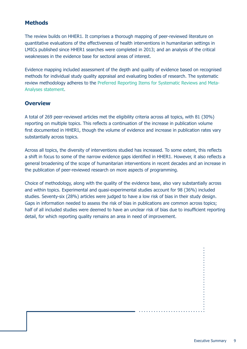#### **Methods**

The review builds on HHER1. It comprises a thorough mapping of peer-reviewed literature on quantitative evaluations of the effectiveness of health interventions in humanitarian settings in LMICs published since HHER1 searches were completed in 2013; and an analysis of the critical weaknesses in the evidence base for sectoral areas of interest.

Evidence mapping included assessment of the depth and quality of evidence based on recognised methods for individual study quality appraisal and evaluating bodies of research. The systematic review methodology adheres to the [Preferred Reporting Items for Systematic Reviews and Meta-](http://prisma-statement.org/)[Analyses statement](http://prisma-statement.org/).

#### **Overview**

A total of 269 peer-reviewed articles met the eligibility criteria across all topics, with 81 (30%) reporting on multiple topics. This reflects a continuation of the increase in publication volume first documented in HHER1, though the volume of evidence and increase in publication rates vary substantially across topics.

Across all topics, the diversity of interventions studied has increased. To some extent, this reflects a shift in focus to some of the narrow evidence gaps identified in HHER1. However, it also reflects a general broadening of the scope of humanitarian interventions in recent decades and an increase in the publication of peer-reviewed research on more aspects of programming.

Choice of methodology, along with the quality of the evidence base, also vary substantially across and within topics. Experimental and quasi-experimental studies account for 98 (36%) included studies. Seventy-six (28%) articles were judged to have a low risk of bias in their study design. Gaps in information needed to assess the risk of bias in publications are common across topics; half of all included studies were deemed to have an unclear risk of bias due to insufficient reporting detail, for which reporting quality remains an area in need of improvement.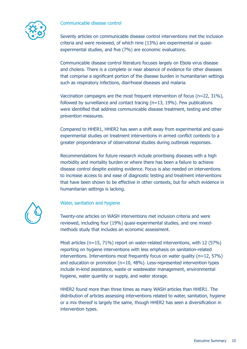Communicable disease control



Seventy articles on communicable disease control interventions met the inclusion criteria and were reviewed, of which nine (13%) are experimental or quasiexperimental studies, and five (7%) are economic evaluations.

Communicable disease control literature focuses largely on Ebola virus disease and cholera. There is a complete or near absence of evidence for other diseases that comprise a significant portion of the disease burden in humanitarian settings such as respiratory infections, diarrhoeal diseases and malaria.

Vaccination campaigns are the most frequent intervention of focus (n=22, 31%), followed by surveillance and contact tracing (n=13, 19%). Few publications were identified that address communicable disease treatment, testing and other prevention measures.

Compared to HHER1, HHER2 has seen a shift away from experimental and quasiexperimental studies on treatment interventions in armed conflict contexts to a greater preponderance of observational studies during outbreak responses.

Recommendations for future research include prioritising diseases with a high morbidity and mortality burden or where there has been a failure to achieve disease control despite existing evidence. Focus is also needed on interventions to increase access to and ease of diagnostic testing and treatment interventions that have been shown to be effective in other contexts, but for which evidence in humanitarian settings is lacking.



Water, sanitation and hygiene

Twenty-one articles on WASH interventions met inclusion criteria and were reviewed, including four (19%) quasi-experimental studies, and one mixedmethods study that includes an economic assessment.

Most articles (n=15, 71%) report on water-related interventions, with 12 (57%) reporting on hygiene interventions with less emphasis on sanitation-related interventions. Interventions most frequently focus on water quality (n=12, 57%) and education or promotion (n=10, 48%). Less-represented intervention types include in-kind assistance, waste or wastewater management, environmental hygiene, water quantity or supply, and water storage.

HHER2 found more than three times as many WASH articles than HHER1. The distribution of articles assessing interventions related to water, sanitation, hygiene or a mix thereof is largely the same, though HHER2 has seen a diversification in intervention types.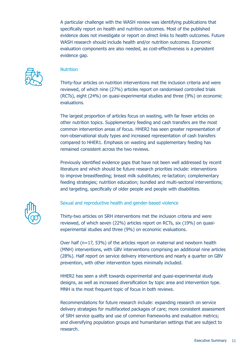A particular challenge with the WASH review was identifying publications that specifically report on health and nutrition outcomes. Most of the published evidence does not investigate or report on direct links to health outcomes. Future WASH research should include health and/or nutrition outcomes. Economic evaluation components are also needed, as cost-effectiveness is a persistent evidence gap.



#### **Nutrition**

Thirty-four articles on nutrition interventions met the inclusion criteria and were reviewed, of which nine (27%) articles report on randomised controlled trials (RCTs), eight (24%) on quasi-experimental studies and three (9%) on economic evaluations.

The largest proportion of articles focus on wasting, with far fewer articles on other nutrition topics. Supplementary feeding and cash transfers are the most common intervention areas of focus. HHER2 has seen greater representation of non-observational study types and increased representation of cash transfers compared to HHER1. Emphasis on wasting and supplementary feeding has remained consistent across the two reviews.

Previously identified evidence gaps that have not been well addressed by recent literature and which should be future research priorities include: interventions to improve breastfeeding; breast milk substitutes; re-lactation; complementary feeding strategies; nutrition education; bundled and multi-sectoral interventions; and targeting, specifically of older people and people with disabilities.



#### Sexual and reproductive health and gender-based violence

Thirty-two articles on SRH interventions met the inclusion criteria and were reviewed, of which seven (22%) articles report on RCTs, six (19%) on quasiexperimental studies and three (9%) on economic evaluations.

Over half (n=17, 53%) of the articles report on maternal and newborn health (MNH) interventions, with GBV interventions comprising an additional nine articles (28%). Half report on service delivery interventions and nearly a quarter on GBV prevention, with other intervention types minimally included.

HHER2 has seen a shift towards experimental and quasi-experimental study designs, as well as increased diversification by topic area and intervention type. MNH is the most frequent topic of focus in both reviews.

Recommendations for future research include: expanding research on service delivery strategies for multifaceted packages of care; more consistent assessment of SRH service quality and use of common frameworks and evaluation metrics; and diversifying population groups and humanitarian settings that are subject to research.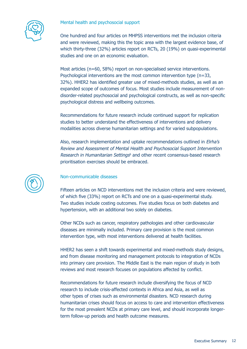#### Mental health and psychosocial support



One hundred and four articles on MHPSS interventions met the inclusion criteria and were reviewed, making this the topic area with the largest evidence base, of which thirty-three (32%) articles report on RCTs, 20 (19%) on quasi-experimental studies and one on an economic evaluation.

Most articles (n=60, 58%) report on non-specialised service interventions. Psychological interventions are the most common intervention type (n=33, 32%). HHER2 has identified greater use of mixed-methods studies, as well as an expanded scope of outcomes of focus. Most studies include measurement of nondisorder-related psychosocial and psychological constructs, as well as non-specific psychological distress and wellbeing outcomes.

Recommendations for future research include continued support for replication studies to better understand the effectiveness of interventions and delivery modalities across diverse humanitarian settings and for varied subpopulations.

Also, research implementation and uptake recommendations outlined in *Elrha's* Review and Assessment of Mental Health and Psychosocial Support Intervention Research in Humanitarian Settings<sup>[6](#page-15-0)</sup> and other recent consensus-based research prioritisation exercises should be embraced.



#### Non-communicable diseases

Fifteen articles on NCD interventions met the inclusion criteria and were reviewed, of which five (33%) report on RCTs and one on a quasi-experimental study. Two studies include costing outcomes. Five studies focus on both diabetes and hypertension, with an additional two solely on diabetes.

Other NCDs such as cancer, respiratory pathologies and other cardiovascular diseases are minimally included. Primary care provision is the most common intervention type, with most interventions delivered at health facilities.

HHER2 has seen a shift towards experimental and mixed-methods study designs, and from disease monitoring and management protocols to integration of NCDs into primary care provision. The Middle East is the main region of study in both reviews and most research focuses on populations affected by conflict.

Recommendations for future research include diversifying the focus of NCD research to include crisis-affected contexts in Africa and Asia, as well as other types of crises such as environmental disasters. NCD research during humanitarian crises should focus on access to care and intervention effectiveness for the most prevalent NCDs at primary care level, and should incorporate longerterm follow-up periods and health outcome measures.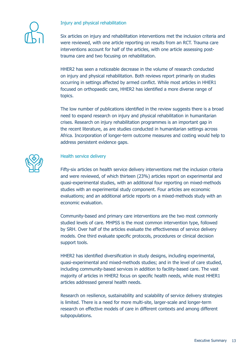#### Injury and physical rehabilitation



Six articles on injury and rehabilitation interventions met the inclusion criteria and were reviewed, with one article reporting on results from an RCT. Trauma care interventions account for half of the articles, with one article assessing posttrauma care and two focusing on rehabilitation.

HHER2 has seen a noticeable decrease in the volume of research conducted on injury and physical rehabilitation. Both reviews report primarily on studies occurring in settings affected by armed conflict. While most articles in HHER1 focused on orthopaedic care, HHER2 has identified a more diverse range of topics.

The low number of publications identified in the review suggests there is a broad need to expand research on injury and physical rehabilitation in humanitarian crises. Research on injury rehabilitation programmes is an important gap in the recent literature, as are studies conducted in humanitarian settings across Africa. Incorporation of longer-term outcome measures and costing would help to address persistent evidence gaps.



#### Health service delivery

Fifty-six articles on health service delivery interventions met the inclusion criteria and were reviewed, of which thirteen (23%) articles report on experimental and quasi-experimental studies, with an additional four reporting on mixed-methods studies with an experimental study component. Four articles are economic evaluations; and an additional article reports on a mixed-methods study with an economic evaluation.

Community-based and primary care interventions are the two most commonly studied levels of care. MHPSS is the most common intervention type, followed by SRH. Over half of the articles evaluate the effectiveness of service delivery models. One third evaluate specific protocols, procedures or clinical decision support tools.

HHER2 has identified diversification in study designs, including experimental, quasi-experimental and mixed-methods studies; and in the level of care studied, including community-based services in addition to facility-based care. The vast majority of articles in HHER2 focus on specific health needs, while most HHER1 articles addressed general health needs.

Research on resilience, sustainability and scalability of service delivery strategies is limited. There is a need for more multi-site, larger-scale and longer-term research on effective models of care in different contexts and among different subpopulations.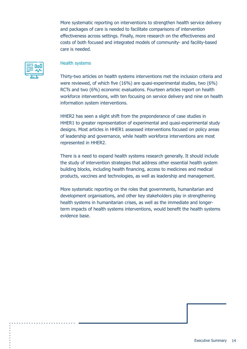More systematic reporting on interventions to strengthen health service delivery and packages of care is needed to facilitate comparisons of intervention effectiveness across settings. Finally, more research on the effectiveness and costs of both focused and integrated models of community- and facility-based care is needed.



#### Health systems

Thirty-two articles on health systems interventions met the inclusion criteria and were reviewed, of which five (16%) are quasi-experimental studies, two (6%) RCTs and two (6%) economic evaluations. Fourteen articles report on health workforce interventions, with ten focusing on service delivery and nine on health information system interventions.

HHER2 has seen a slight shift from the preponderance of case studies in HHER1 to greater representation of experimental and quasi-experimental study designs. Most articles in HHER1 assessed interventions focused on policy areas of leadership and governance, while health workforce interventions are most represented in HHER2.

There is a need to expand health systems research generally. It should include the study of intervention strategies that address other essential health system building blocks, including health financing, access to medicines and medical products, vaccines and technologies, as well as leadership and management.

More systematic reporting on the roles that governments, humanitarian and development organisations, and other key stakeholders play in strengthening health systems in humanitarian crises, as well as the immediate and longerterm impacts of health systems interventions, would benefit the health systems evidence base.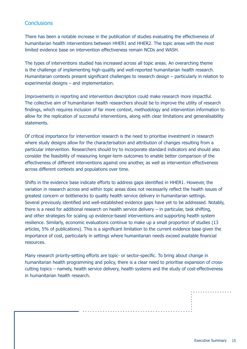#### **Conclusions**

There has been a notable increase in the publication of studies evaluating the effectiveness of humanitarian health interventions between HHER1 and HHER2. The topic areas with the most limited evidence base on intervention effectiveness remain NCDs and WASH.

The types of interventions studied has increased across all topic areas. An overarching theme is the challenge of implementing high-quality and well-reported humanitarian health research. Humanitarian contexts present significant challenges to research design – particularly in relation to experimental designs – and implementation.

Improvements in reporting and intervention description could make research more impactful. The collective aim of humanitarian health researchers should be to improve the utility of research findings, which requires inclusion of far more context, methodology and intervention information to allow for the replication of successful interventions, along with clear limitations and generalisability statements.

Of critical importance for intervention research is the need to prioritise investment in research where study designs allow for the characterisation and attribution of changes resulting from a particular intervention. Researchers should try to incorporate standard indicators and should also consider the feasibility of measuring longer-term outcomes to enable better comparison of the effectiveness of different interventions against one another, as well as intervention effectiveness across different contexts and populations over time.

Shifts in the evidence base indicate efforts to address gaps identified in HHER1. However, the variation in research across and within topic areas does not necessarily reflect the health issues of greatest concern or bottlenecks to quality health service delivery in humanitarian settings. Several previously identified and well-established evidence gaps have yet to be addressed. Notably, there is a need for additional research on health service delivery – in particular, task shifting, and other strategies for scaling up evidence-based interventions and supporting health system resilience. Similarly, economic evaluations continue to make up a small proportion of studies (13 articles, 5% of publications). This is a significant limitation to the current evidence base given the importance of cost, particularly in settings where humanitarian needs exceed available financial resources.

Many research priority-setting efforts are topic- or sector-specific. To bring about change in humanitarian health programming and policy, there is a clear need to prioritise expansion of crosscutting topics – namely, health service delivery, health systems and the study of cost-effectiveness in humanitarian health research.

Executive Summary 15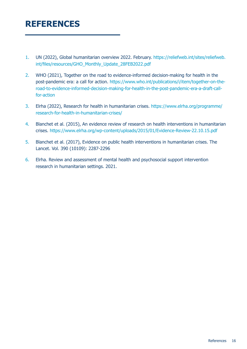## <span id="page-15-0"></span>**REFERENCES**

- 1. UN (2022), Global humanitarian overview 2022. February. [https://reliefweb.int/sites/reliefweb.](https://reliefweb.int/sites/reliefweb.int/files/resources/GHO_Monthly_Update_28FEB2022.pdf) [int/files/resources/GHO\\_Monthly\\_Update\\_28FEB2022.pdf](https://reliefweb.int/sites/reliefweb.int/files/resources/GHO_Monthly_Update_28FEB2022.pdf)
- 2. WHO (2021), Together on the road to evidence-informed decision-making for health in the post-pandemic era: a call for action. [https://www.who.int/publications/i/item/together-on-the](https://www.who.int/publications/i/item/together-on-the-road-to-evidence-informed-decision-making-for-health-in-the-post-pandemic-era-a-draft-call-for-action)[road-to-evidence-informed-decision-making-for-health-in-the-post-pandemic-era-a-draft-call](https://www.who.int/publications/i/item/together-on-the-road-to-evidence-informed-decision-making-for-health-in-the-post-pandemic-era-a-draft-call-for-action)[for-action](https://www.who.int/publications/i/item/together-on-the-road-to-evidence-informed-decision-making-for-health-in-the-post-pandemic-era-a-draft-call-for-action)
- 3. Elrha (2022), Research for health in humanitarian crises. [https://www.elrha.org/programme/](https://www.elrha.org/programme/research-for-health-in-humanitarian-crises/) [research-for-health-in-humanitarian-crises/](https://www.elrha.org/programme/research-for-health-in-humanitarian-crises/)
- 4. Blanchet et al. (2015), An evidence review of research on health interventions in humanitarian crises. <https://www.elrha.org/wp-content/uploads/2015/01/Evidence-Review-22.10.15.pdf>
- 5. Blanchet et al. (2017), Evidence on public health interventions in humanitarian crises. The Lancet. Vol. 390 (10109): 2287-2296
- 6. Elrha. Review and assessment of mental health and psychosocial support intervention research in humanitarian settings. 2021.